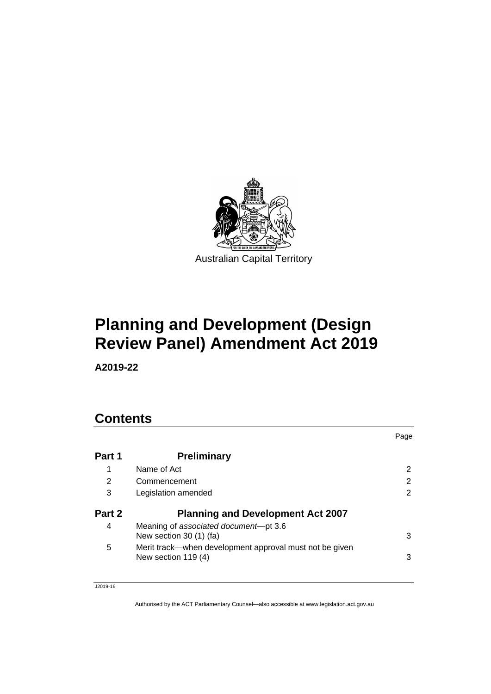

# **Planning and Development (Design Review Panel) Amendment Act 2019**

**A2019-22**

## **Contents**

|        |                                                                                | Page |
|--------|--------------------------------------------------------------------------------|------|
| Part 1 | <b>Preliminary</b>                                                             |      |
|        | Name of Act                                                                    | 2    |
| 2      | Commencement                                                                   | 2    |
| 3      | Legislation amended                                                            | 2    |
| Part 2 | <b>Planning and Development Act 2007</b>                                       |      |
| 4      | Meaning of associated document-pt 3.6<br>New section 30 (1) (fa)               | 3    |
| 5      | Merit track—when development approval must not be given<br>New section 119 (4) | 3    |

J2019-16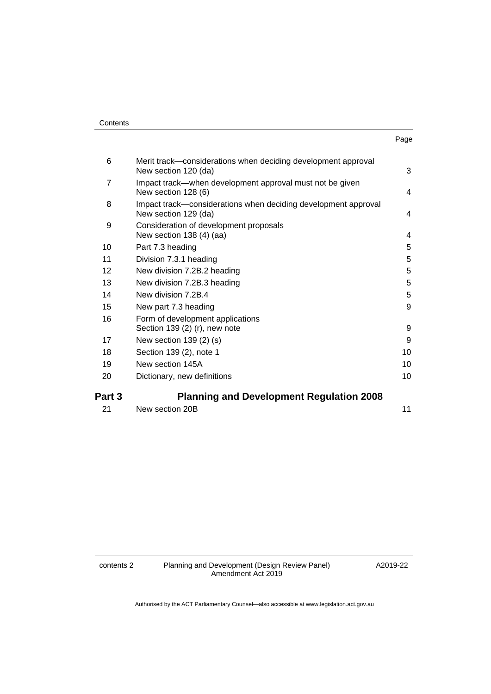| Contents |
|----------|
|----------|

| . .<br>× | ۰.<br>× |
|----------|---------|

| Part 3 | <b>Planning and Development Regulation 2008</b>                                        |    |
|--------|----------------------------------------------------------------------------------------|----|
| 20     | Dictionary, new definitions                                                            | 10 |
| 19     | New section 145A                                                                       | 10 |
| 18     | Section 139 (2), note 1                                                                | 10 |
| 17     | New section $139(2)(s)$                                                                | 9  |
| 16     | Form of development applications<br>Section 139 (2) (r), new note                      | 9  |
| 15     | New part 7.3 heading                                                                   | 9  |
| 14     | New division 7.2B.4                                                                    | 5  |
| 13     | New division 7.2B.3 heading                                                            | 5  |
| 12     | New division 7.2B.2 heading                                                            | 5  |
| 11     | Division 7.3.1 heading                                                                 | 5  |
| 10     | Part 7.3 heading                                                                       | 5  |
| 9      | Consideration of development proposals<br>New section 138 (4) (aa)                     | 4  |
| 8      | Impact track—considerations when deciding development approval<br>New section 129 (da) | 4  |
| 7      | Impact track—when development approval must not be given<br>New section 128 (6)        | 4  |
| 6      | Merit track—considerations when deciding development approval<br>New section 120 (da)  | 3  |
|        |                                                                                        |    |

| -21 | New section 20B |  |  |
|-----|-----------------|--|--|

contents 2 Planning and Development (Design Review Panel) Amendment Act 2019

A2019-22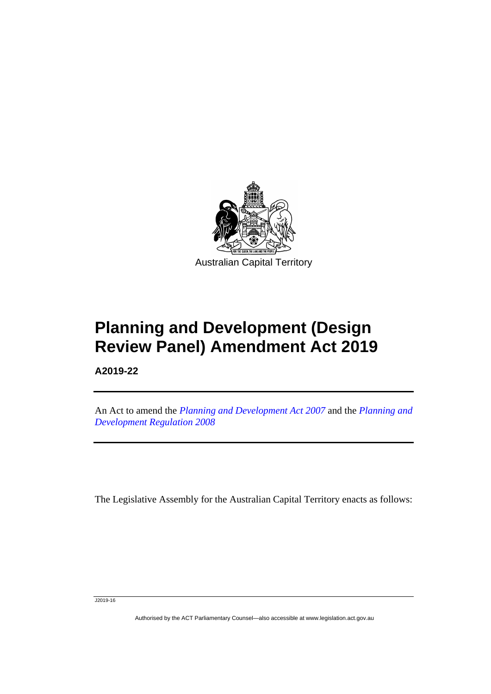

# **Planning and Development (Design Review Panel) Amendment Act 2019**

**A2019-22**

I

An Act to amend the *[Planning and Development Act 2007](http://www.legislation.act.gov.au/a/2007-24)* and the *[Planning and](http://www.legislation.act.gov.au/sl/2008-2)  [Development Regulation 2008](http://www.legislation.act.gov.au/sl/2008-2)*

The Legislative Assembly for the Australian Capital Territory enacts as follows:

J2019-16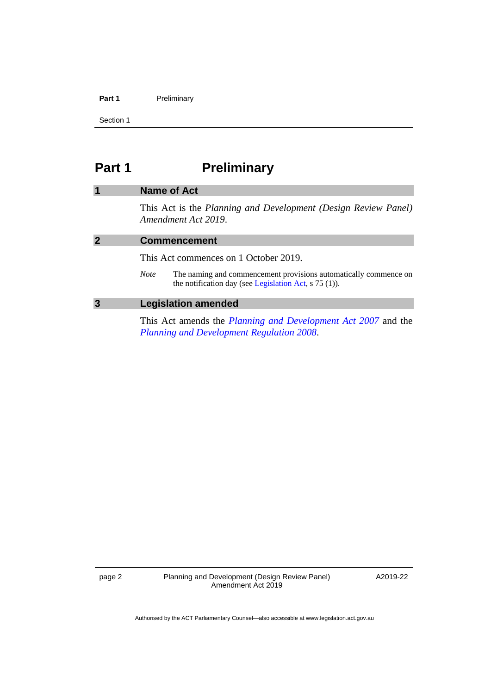#### Part 1 **Preliminary**

Section 1

## <span id="page-3-0"></span>**Part 1 Preliminary**

## <span id="page-3-1"></span>**1 Name of Act**

This Act is the *Planning and Development (Design Review Panel) Amendment Act 2019*.

<span id="page-3-3"></span><span id="page-3-2"></span>

|   |             | <b>Commencement</b>                                                                                                         |  |  |
|---|-------------|-----------------------------------------------------------------------------------------------------------------------------|--|--|
|   |             | This Act commences on 1 October 2019.                                                                                       |  |  |
|   | <i>Note</i> | The naming and commencement provisions automatically commence on<br>the notification day (see Legislation Act, $s$ 75 (1)). |  |  |
| 3 |             | <b>Legislation amended</b>                                                                                                  |  |  |

This Act amends the *[Planning and Development Act 2007](http://www.legislation.act.gov.au/a/2007-24)* and the *[Planning and Development Regulation 2008](http://www.legislation.act.gov.au/sl/2008-2)*.

page 2 Planning and Development (Design Review Panel) Amendment Act 2019

A2019-22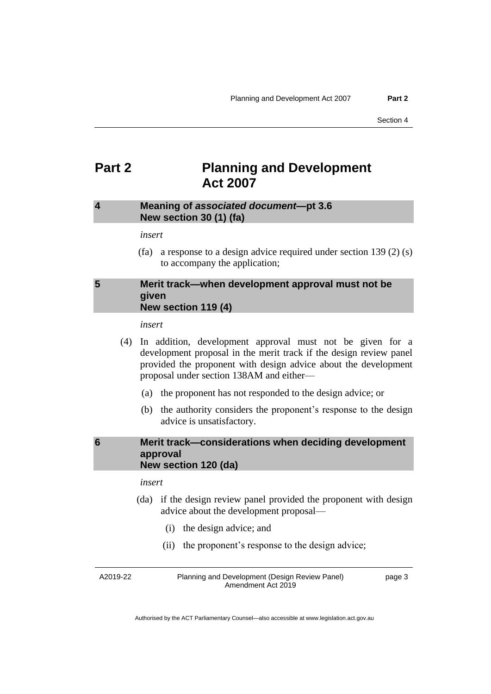## <span id="page-4-0"></span>**Part 2 Planning and Development Act 2007**

## <span id="page-4-1"></span>**4 Meaning of** *associated document—***pt 3.6 New section 30 (1) (fa)**

#### *insert*

(fa) a response to a design advice required under section 139 (2) (s) to accompany the application;

## <span id="page-4-2"></span>**5 Merit track—when development approval must not be given New section 119 (4)**

*insert*

- (4) In addition, development approval must not be given for a development proposal in the merit track if the design review panel provided the proponent with design advice about the development proposal under section 138AM and either—
	- (a) the proponent has not responded to the design advice; or
	- (b) the authority considers the proponent's response to the design advice is unsatisfactory.

### <span id="page-4-3"></span>**6 Merit track—considerations when deciding development approval New section 120 (da)**

#### *insert*

- (da) if the design review panel provided the proponent with design advice about the development proposal—
	- (i) the design advice; and
	- (ii) the proponent's response to the design advice;

A2019-22 Planning and Development (Design Review Panel) Amendment Act 2019

page 3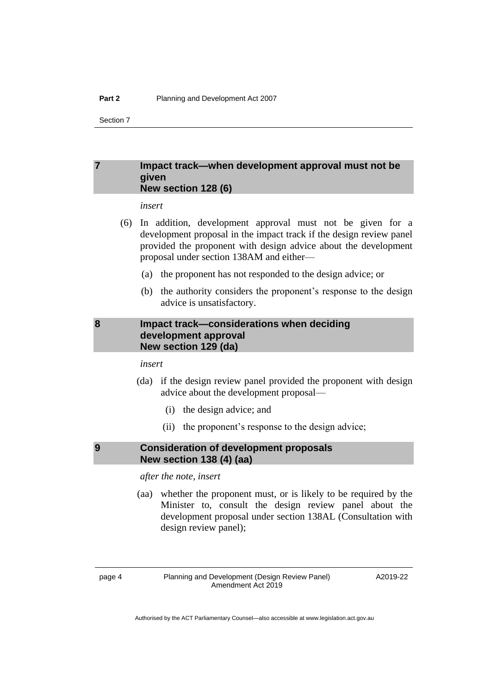### <span id="page-5-0"></span>**7 Impact track—when development approval must not be given New section 128 (6)**

*insert*

- (6) In addition, development approval must not be given for a development proposal in the impact track if the design review panel provided the proponent with design advice about the development proposal under section 138AM and either—
	- (a) the proponent has not responded to the design advice; or
	- (b) the authority considers the proponent's response to the design advice is unsatisfactory.

## <span id="page-5-1"></span>**8 Impact track—considerations when deciding development approval New section 129 (da)**

*insert*

- (da) if the design review panel provided the proponent with design advice about the development proposal—
	- (i) the design advice; and
	- (ii) the proponent's response to the design advice;

## <span id="page-5-2"></span>**9 Consideration of development proposals New section 138 (4) (aa)**

*after the note, insert*

(aa) whether the proponent must, or is likely to be required by the Minister to, consult the design review panel about the development proposal under section 138AL (Consultation with design review panel);

page 4 Planning and Development (Design Review Panel) Amendment Act 2019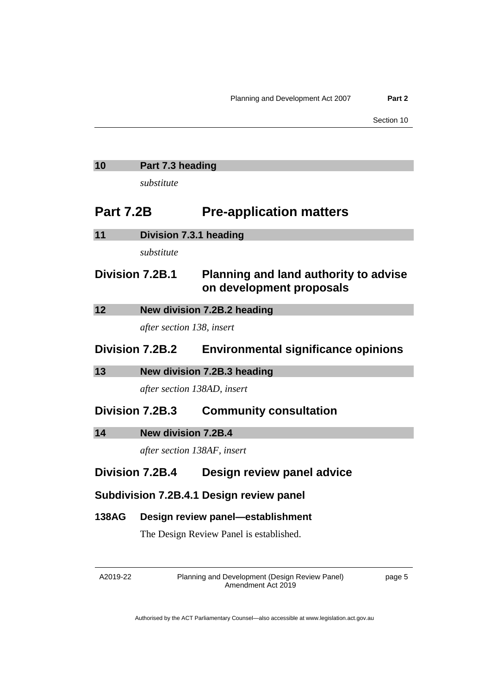## <span id="page-6-0"></span>**10 Part 7.3 heading**

*substitute*

## **Part 7.2B Pre-application matters**

<span id="page-6-3"></span><span id="page-6-2"></span><span id="page-6-1"></span>

| 11              | Division 7.3.1 heading      |                                                                          |
|-----------------|-----------------------------|--------------------------------------------------------------------------|
|                 | substitute                  |                                                                          |
| Division 7.2B.1 |                             | <b>Planning and land authority to advise</b><br>on development proposals |
| 12              |                             | New division 7.2B.2 heading                                              |
|                 | after section 138, insert   |                                                                          |
| Division 7.2B.2 |                             | <b>Environmental significance opinions</b>                               |
| 13              |                             | New division 7.2B.3 heading                                              |
|                 | after section 138AD, insert |                                                                          |
|                 |                             |                                                                          |
| Division 7.2B.3 |                             | <b>Community consultation</b>                                            |
| 14              | <b>New division 7.2B.4</b>  |                                                                          |
|                 | after section 138AF, insert |                                                                          |
| Division 7.2B.4 |                             | Design review panel advice                                               |
|                 |                             | Subdivision 7.2B.4.1 Design review panel                                 |
| <b>138AG</b>    |                             | Design review panel-establishment                                        |
|                 |                             | The Design Review Panel is established.                                  |
|                 |                             |                                                                          |

<span id="page-6-4"></span>A2019-22

Planning and Development (Design Review Panel) Amendment Act 2019

page 5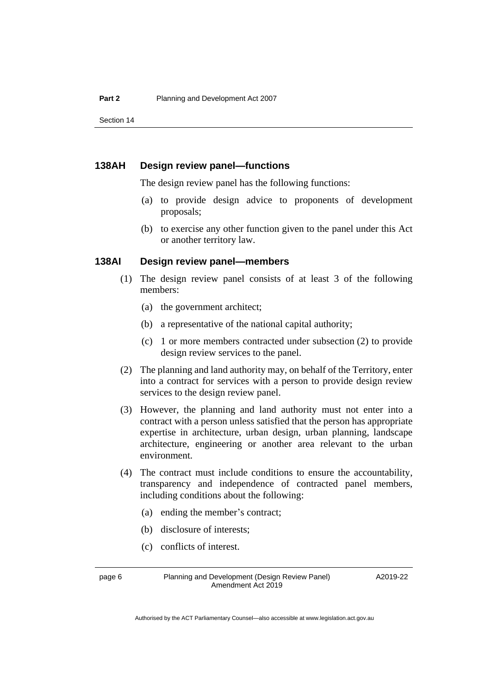#### **138AH Design review panel—functions**

The design review panel has the following functions:

- (a) to provide design advice to proponents of development proposals;
- (b) to exercise any other function given to the panel under this Act or another territory law.

### **138AI Design review panel—members**

- (1) The design review panel consists of at least 3 of the following members:
	- (a) the government architect;
	- (b) a representative of the national capital authority;
	- (c) 1 or more members contracted under subsection (2) to provide design review services to the panel.
- (2) The planning and land authority may, on behalf of the Territory, enter into a contract for services with a person to provide design review services to the design review panel.
- (3) However, the planning and land authority must not enter into a contract with a person unless satisfied that the person has appropriate expertise in architecture, urban design, urban planning, landscape architecture, engineering or another area relevant to the urban environment.
- (4) The contract must include conditions to ensure the accountability, transparency and independence of contracted panel members, including conditions about the following:
	- (a) ending the member's contract;
	- (b) disclosure of interests;
	- (c) conflicts of interest.

page 6 Planning and Development (Design Review Panel) Amendment Act 2019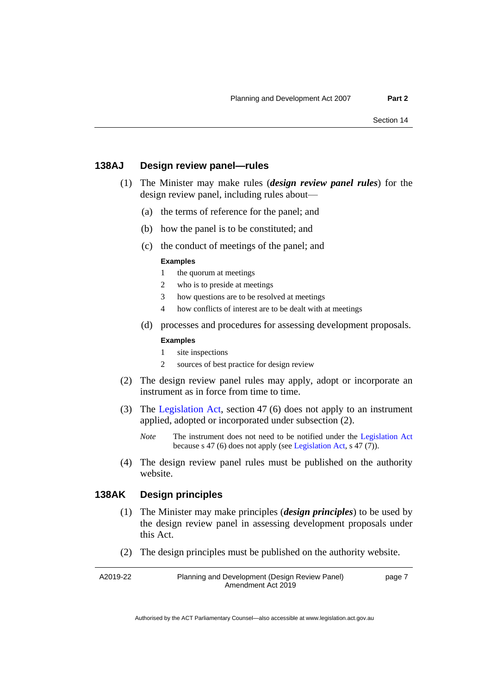### **138AJ Design review panel—rules**

- (1) The Minister may make rules (*design review panel rules*) for the design review panel, including rules about—
	- (a) the terms of reference for the panel; and
	- (b) how the panel is to be constituted; and
	- (c) the conduct of meetings of the panel; and

#### **Examples**

- 1 the quorum at meetings
- 2 who is to preside at meetings
- 3 how questions are to be resolved at meetings
- 4 how conflicts of interest are to be dealt with at meetings
- (d) processes and procedures for assessing development proposals.

#### **Examples**

- 1 site inspections
- 2 sources of best practice for design review
- (2) The design review panel rules may apply, adopt or incorporate an instrument as in force from time to time.
- (3) The [Legislation Act,](http://www.legislation.act.gov.au/a/2001-14) section 47 (6) does not apply to an instrument applied, adopted or incorporated under subsection (2).
	- *Note* The instrument does not need to be notified under the [Legislation Act](http://www.legislation.act.gov.au/a/2001-14) because s 47 (6) does not apply (se[e Legislation Act,](http://www.legislation.act.gov.au/a/2001-14) s 47 (7)).
- (4) The design review panel rules must be published on the authority website.

## **138AK Design principles**

- (1) The Minister may make principles (*design principles*) to be used by the design review panel in assessing development proposals under this Act.
- (2) The design principles must be published on the authority website.

A2019-22 Planning and Development (Design Review Panel) Amendment Act 2019 page 7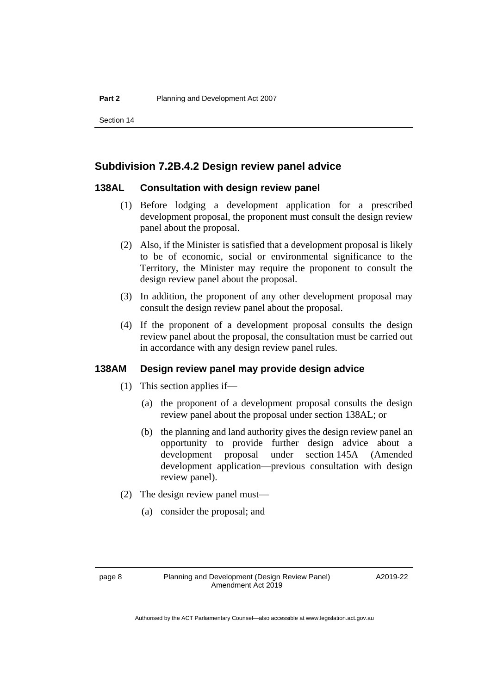## **Subdivision 7.2B.4.2 Design review panel advice**

#### **138AL Consultation with design review panel**

- (1) Before lodging a development application for a prescribed development proposal, the proponent must consult the design review panel about the proposal.
- (2) Also, if the Minister is satisfied that a development proposal is likely to be of economic, social or environmental significance to the Territory, the Minister may require the proponent to consult the design review panel about the proposal.
- (3) In addition, the proponent of any other development proposal may consult the design review panel about the proposal.
- (4) If the proponent of a development proposal consults the design review panel about the proposal, the consultation must be carried out in accordance with any design review panel rules.

## **138AM Design review panel may provide design advice**

- (1) This section applies if—
	- (a) the proponent of a development proposal consults the design review panel about the proposal under section 138AL; or
	- (b) the planning and land authority gives the design review panel an opportunity to provide further design advice about a development proposal under section 145A (Amended development application—previous consultation with design review panel).
- (2) The design review panel must—
	- (a) consider the proposal; and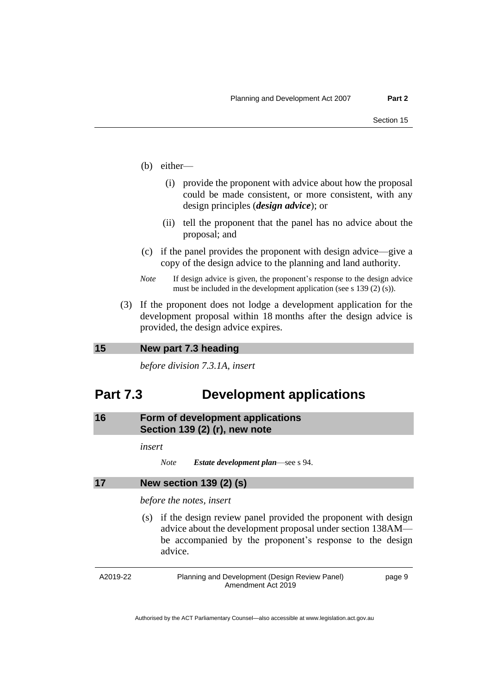- (b) either—
	- (i) provide the proponent with advice about how the proposal could be made consistent, or more consistent, with any design principles (*design advice*); or
	- (ii) tell the proponent that the panel has no advice about the proposal; and
- (c) if the panel provides the proponent with design advice—give a copy of the design advice to the planning and land authority.
- *Note* If design advice is given, the proponent's response to the design advice must be included in the development application (see s 139 (2) (s)).
- (3) If the proponent does not lodge a development application for the development proposal within 18 months after the design advice is provided, the design advice expires.

## <span id="page-10-0"></span>**15 New part 7.3 heading**

*before division 7.3.1A, insert*

## **Part 7.3 Development applications**

<span id="page-10-1"></span>**16 Form of development applications Section 139 (2) (r), new note**

*insert*

```
17 New section 139 (2) (s)
```
*before the notes, insert*

(s) if the design review panel provided the proponent with design advice about the development proposal under section 138AM be accompanied by the proponent's response to the design advice.

A2019-22 Planning and Development (Design Review Panel) Amendment Act 2019

page 9

*Note Estate development plan*—see s 94.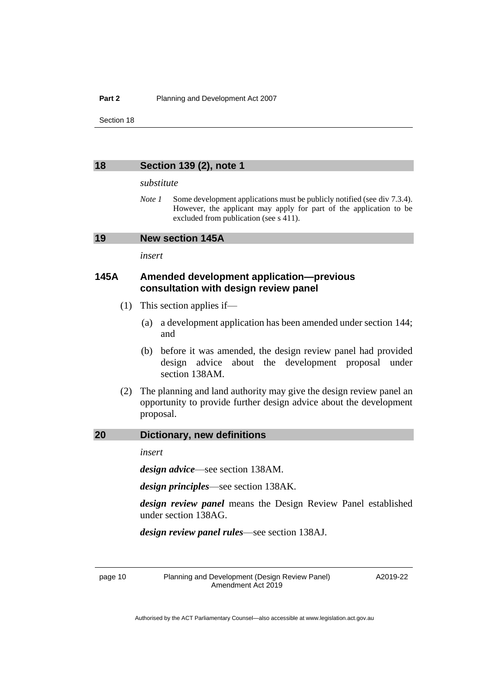#### <span id="page-11-0"></span>**18 Section 139 (2), note 1**

#### *substitute*

*Note 1* Some development applications must be publicly notified (see div 7.3.4). However, the applicant may apply for part of the application to be excluded from publication (see s 411).

#### <span id="page-11-1"></span>**19 New section 145A**

*insert*

## **145A Amended development application—previous consultation with design review panel**

- (1) This section applies if—
	- (a) a development application has been amended under section 144; and
	- (b) before it was amended, the design review panel had provided design advice about the development proposal under section 138AM.
- (2) The planning and land authority may give the design review panel an opportunity to provide further design advice about the development proposal.

#### <span id="page-11-2"></span>**20 Dictionary, new definitions**

*insert*

*design advice*—see section 138AM.

*design principles*—see section 138AK.

*design review panel* means the Design Review Panel established under section 138AG.

*design review panel rules*—see section 138AJ.

page 10 Planning and Development (Design Review Panel) Amendment Act 2019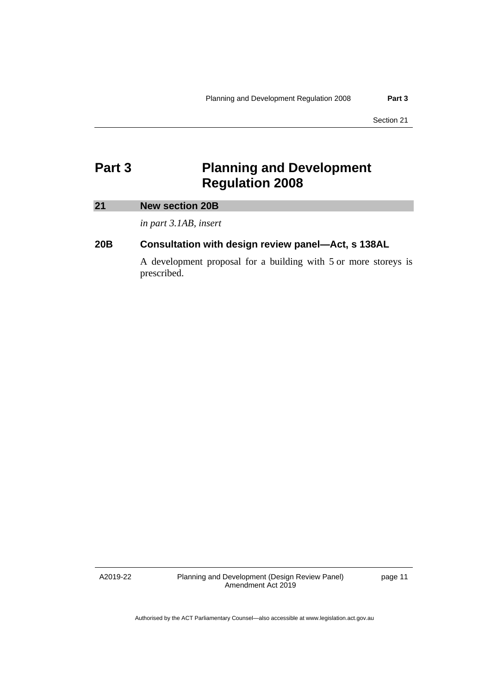## <span id="page-12-0"></span>**Part 3 Planning and Development Regulation 2008**

## <span id="page-12-1"></span>**21 New section 20B**

*in part 3.1AB, insert*

## **20B Consultation with design review panel—Act, s 138AL**

A development proposal for a building with 5 or more storeys is prescribed.

A2019-22

Planning and Development (Design Review Panel) Amendment Act 2019

page 11